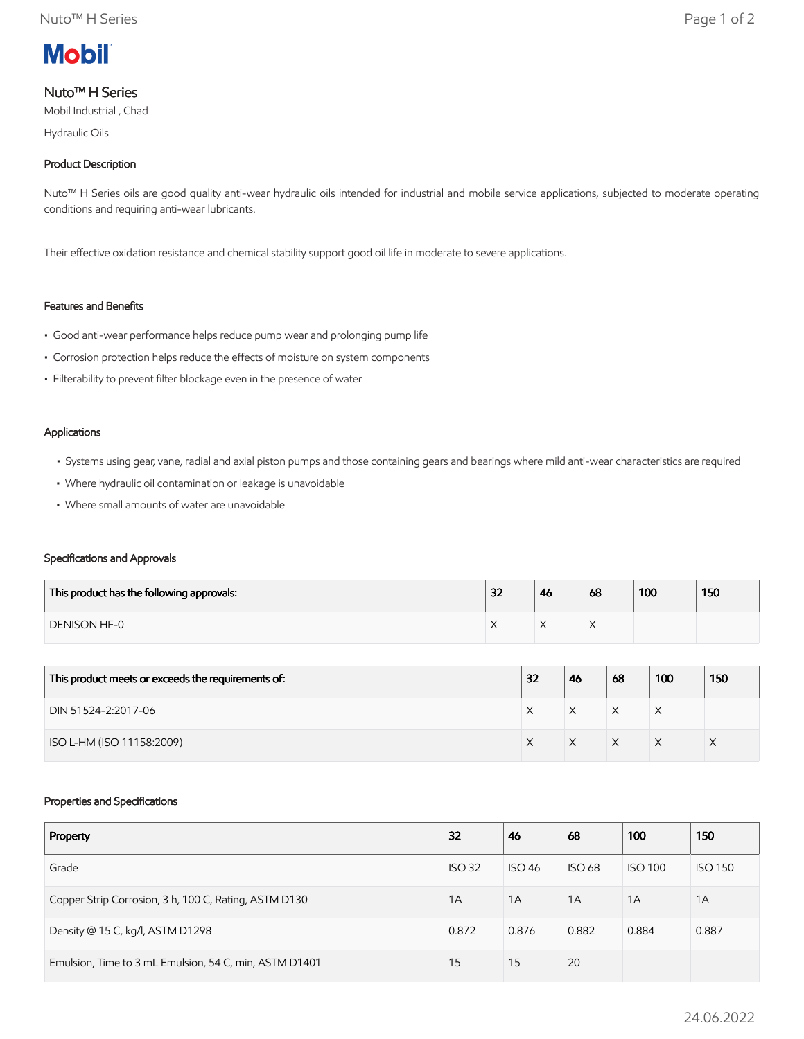

# Nuto™ H Series

Mobil Industrial , Chad

Hydraulic Oils

# Product Description

Nuto™ H Series oils are good quality anti-wear hydraulic oils intended for industrial and mobile service applications, subjected to moderate operating conditions and requiring anti-wear lubricants.

Their effective oxidation resistance and chemical stability support good oil life in moderate to severe applications.

# Features and Benefits

- Good anti-wear performance helps reduce pump wear and prolonging pump life
- Corrosion protection helps reduce the effects of moisture on system components
- Filterability to prevent filter blockage even in the presence of water

### Applications

- Systems using gear, vane, radial and axial piston pumps and those containing gears and bearings where mild anti-wear characteristics are required
- Where hydraulic oil contamination or leakage is unavoidable
- Where small amounts of water are unavoidable

## Specifications and Approvals

| This product has the following approvals: | 32 | 46 | 68 | 100 | 150 |
|-------------------------------------------|----|----|----|-----|-----|
| <b>DENISON HF-0</b>                       |    |    |    |     |     |

| This product meets or exceeds the requirements of: | 32 | 46 | 68           | 100 | 150 |
|----------------------------------------------------|----|----|--------------|-----|-----|
| DIN 51524-2:2017-06                                |    |    | $\checkmark$ | ⋏   |     |
| ISO L-HM (ISO 11158:2009)                          |    |    | $\checkmark$ |     |     |

## Properties and Specifications

| Property                                               | 32            | 46            | 68            | 100            | 150            |
|--------------------------------------------------------|---------------|---------------|---------------|----------------|----------------|
| Grade                                                  | <b>ISO 32</b> | <b>ISO 46</b> | <b>ISO 68</b> | <b>ISO 100</b> | <b>ISO 150</b> |
| Copper Strip Corrosion, 3 h, 100 C, Rating, ASTM D130  | 1A            | 1A            | 1A            | 1A             | 1A             |
| Density @ 15 C, kg/l, ASTM D1298                       | 0.872         | 0.876         | 0.882         | 0.884          | 0.887          |
| Emulsion, Time to 3 mL Emulsion, 54 C, min, ASTM D1401 | 15            | 15            | 20            |                |                |